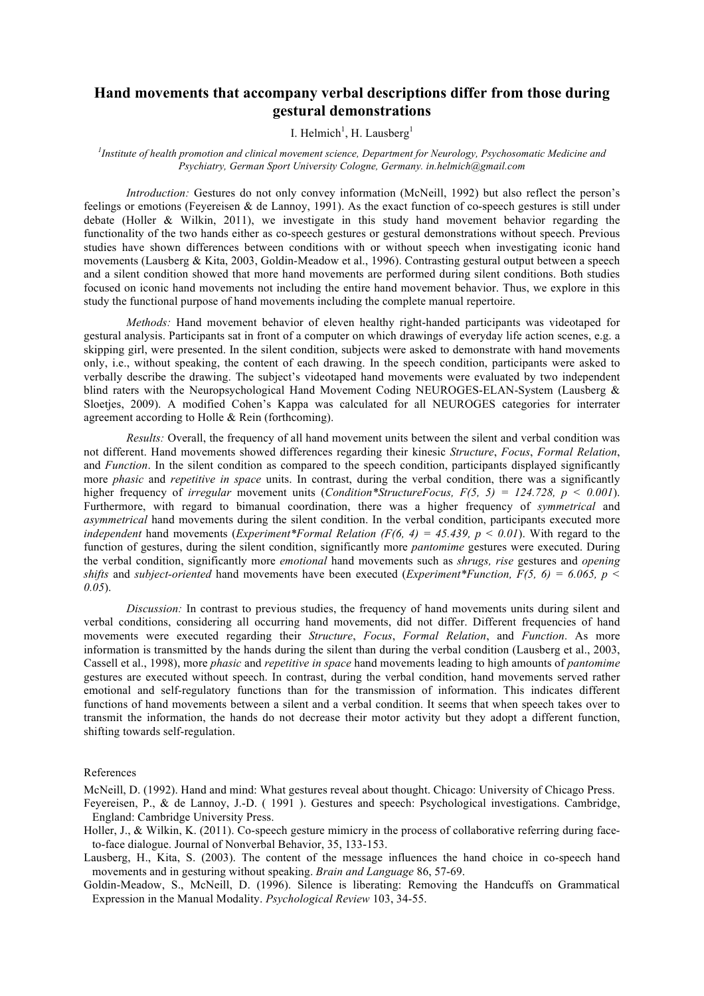## **Hand movements that accompany verbal descriptions differ from those during gestural demonstrations**

## I. Helmich<sup>1</sup>, H. Lausberg<sup>1</sup>

## *1 Institute of health promotion and clinical movement science, Department for Neurology, Psychosomatic Medicine and Psychiatry, German Sport University Cologne, Germany. in.helmich@gmail.com*

*Introduction:* Gestures do not only convey information (McNeill, 1992) but also reflect the person's feelings or emotions (Feyereisen & de Lannoy, 1991). As the exact function of co-speech gestures is still under debate (Holler & Wilkin, 2011), we investigate in this study hand movement behavior regarding the functionality of the two hands either as co-speech gestures or gestural demonstrations without speech. Previous studies have shown differences between conditions with or without speech when investigating iconic hand movements (Lausberg & Kita, 2003, Goldin-Meadow et al., 1996). Contrasting gestural output between a speech and a silent condition showed that more hand movements are performed during silent conditions. Both studies focused on iconic hand movements not including the entire hand movement behavior. Thus, we explore in this study the functional purpose of hand movements including the complete manual repertoire.

*Methods:* Hand movement behavior of eleven healthy right-handed participants was videotaped for gestural analysis. Participants sat in front of a computer on which drawings of everyday life action scenes, e.g. a skipping girl, were presented. In the silent condition, subjects were asked to demonstrate with hand movements only, i.e., without speaking, the content of each drawing. In the speech condition, participants were asked to verbally describe the drawing. The subject's videotaped hand movements were evaluated by two independent blind raters with the Neuropsychological Hand Movement Coding NEUROGES-ELAN-System (Lausberg & Sloetjes, 2009). A modified Cohen's Kappa was calculated for all NEUROGES categories for interrater agreement according to Holle & Rein (forthcoming).

*Results:* Overall, the frequency of all hand movement units between the silent and verbal condition was not different. Hand movements showed differences regarding their kinesic *Structure*, *Focus*, *Formal Relation*, and *Function*. In the silent condition as compared to the speech condition, participants displayed significantly more *phasic* and *repetitive in space* units. In contrast, during the verbal condition, there was a significantly higher frequency of *irregular* movement units (*Condition\*StructureFocus, F(5, 5) = 124.728, p < 0.001*). Furthermore, with regard to bimanual coordination, there was a higher frequency of *symmetrical* and *asymmetrical* hand movements during the silent condition. In the verbal condition, participants executed more *independent* hand movements (*Experiment\*Formal Relation (F(6, 4) = 45.439, p < 0.01*). With regard to the function of gestures, during the silent condition, significantly more *pantomime* gestures were executed. During the verbal condition, significantly more *emotional* hand movements such as *shrugs, rise* gestures and *opening shifts* and *subject-oriented* hand movements have been executed (*Experiment\*Function, F(5, 6) = 6.065, p < 0.05*).

*Discussion:* In contrast to previous studies, the frequency of hand movements units during silent and verbal conditions, considering all occurring hand movements, did not differ. Different frequencies of hand movements were executed regarding their *Structure*, *Focus*, *Formal Relation*, and *Function*. As more information is transmitted by the hands during the silent than during the verbal condition (Lausberg et al., 2003, Cassell et al., 1998), more *phasic* and *repetitive in space* hand movements leading to high amounts of *pantomime* gestures are executed without speech. In contrast, during the verbal condition, hand movements served rather emotional and self-regulatory functions than for the transmission of information. This indicates different functions of hand movements between a silent and a verbal condition. It seems that when speech takes over to transmit the information, the hands do not decrease their motor activity but they adopt a different function, shifting towards self-regulation.

## References

McNeill, D. (1992). Hand and mind: What gestures reveal about thought. Chicago: University of Chicago Press.

- Feyereisen, P., & de Lannoy, J.-D. ( 1991 ). Gestures and speech: Psychological investigations. Cambridge, England: Cambridge University Press.
- Holler, J., & Wilkin, K. (2011). Co-speech gesture mimicry in the process of collaborative referring during faceto-face dialogue. Journal of Nonverbal Behavior, 35, 133-153.

Lausberg, H., Kita, S. (2003). The content of the message influences the hand choice in co-speech hand movements and in gesturing without speaking. *Brain and Language* 86, 57-69.

Goldin-Meadow, S., McNeill, D. (1996). Silence is liberating: Removing the Handcuffs on Grammatical Expression in the Manual Modality. *Psychological Review* 103, 34-55.